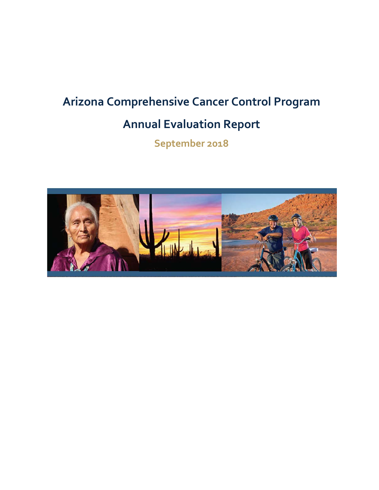# **Arizona Comprehensive Cancer Control Program**

# **Annual Evaluation Report**

**September 2018**

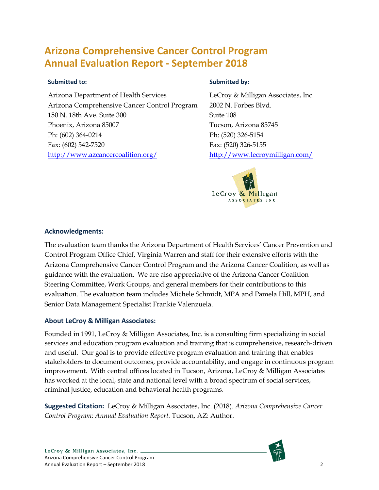# **Arizona Comprehensive Cancer Control Program Annual Evaluation Report - September 2018**

### **Submitted to:**

Arizona Department of Health Services Arizona Comprehensive Cancer Control Program 150 N. 18th Ave. Suite 300 Phoenix, Arizona 85007 Ph: (602) 364-0214 Fax: (602) 542-7520 <http://www.azcancercoalition.org/>

### **Submitted by:**

LeCroy & Milligan Associates, Inc. 2002 N. Forbes Blvd. Suite 108 Tucson, Arizona 85745 Ph: (520) 326-5154 Fax: (520) 326-5155 http://www.lecroymilligan.com/



### **Acknowledgments:**

The evaluation team thanks the Arizona Department of Health Services' Cancer Prevention and Control Program Office Chief, Virginia Warren and staff for their extensive efforts with the Arizona Comprehensive Cancer Control Program and the Arizona Cancer Coalition, as well as guidance with the evaluation. We are also appreciative of the Arizona Cancer Coalition Steering Committee, Work Groups, and general members for their contributions to this evaluation. The evaluation team includes Michele Schmidt, MPA and Pamela Hill, MPH, and Senior Data Management Specialist Frankie Valenzuela.

### **About LeCroy & Milligan Associates:**

Founded in 1991, LeCroy & Milligan Associates, Inc. is a consulting firm specializing in social services and education program evaluation and training that is comprehensive, research-driven and useful. Our goal is to provide effective program evaluation and training that enables stakeholders to document outcomes, provide accountability, and engage in continuous program improvement. With central offices located in Tucson, Arizona, LeCroy & Milligan Associates has worked at the local, state and national level with a broad spectrum of social services, criminal justice, education and behavioral health programs.

**Suggested Citation:** LeCroy & Milligan Associates, Inc. (2018). *Arizona Comprehensive Cancer Control Program: Annual Evaluation Report.* Tucson, AZ: Author.

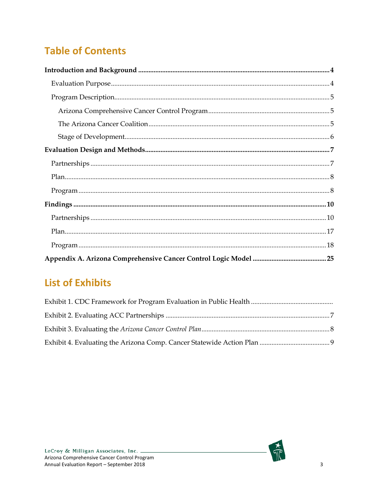# **Table of Contents**

| ${\bf Program}\, {.} \label{eq:1} .$ |
|--------------------------------------|
| $\bf Findings \, 10$                 |
|                                      |
|                                      |
|                                      |
|                                      |

# **List of Exhibits**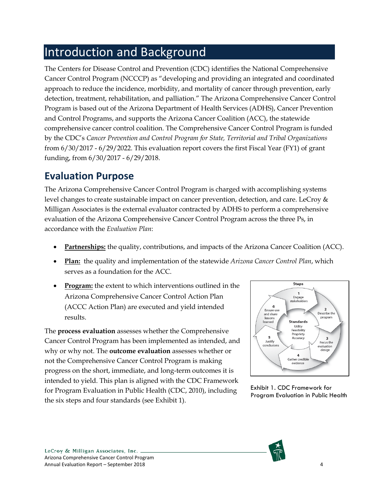# <span id="page-3-0"></span>Introduction and Background

The Centers for Disease Control and Prevention (CDC) identifies the National Comprehensive Cancer Control Program (NCCCP) as "developing and providing an integrated and coordinated approach to reduce the incidence, morbidity, and mortality of cancer through prevention, early detection, treatment, rehabilitation, and palliation." The Arizona Comprehensive Cancer Control Program is based out of the Arizona Department of Health Services (ADHS), Cancer Prevention and Control Programs, and supports the Arizona Cancer Coalition (ACC), the statewide comprehensive cancer control coalition. The Comprehensive Cancer Control Program is funded by the CDC's *Cancer Prevention and Control Program for State, Territorial and Tribal Organizations* from 6/30/2017 - 6/29/2022. This evaluation report covers the first Fiscal Year (FY1) of grant funding, from 6/30/2017 - 6/29/2018.

# <span id="page-3-1"></span>**Evaluation Purpose**

The Arizona Comprehensive Cancer Control Program is charged with accomplishing systems level changes to create sustainable impact on cancer prevention, detection, and care. LeCroy & Milligan Associates is the external evaluator contracted by ADHS to perform a comprehensive evaluation of the Arizona Comprehensive Cancer Control Program across the three Ps, in accordance with the *Evaluation Plan*:

- **Partnerships:** the quality, contributions, and impacts of the Arizona Cancer Coalition (ACC).
- **Plan:** the quality and implementation of the statewide *Arizona Cancer Control Plan*, which serves as a foundation for the ACC.
- **Program:** the extent to which interventions outlined in the Arizona Comprehensive Cancer Control Action Plan (ACCC Action Plan) are executed and yield intended results.

The **process evaluation** assesses whether the Comprehensive Cancer Control Program has been implemented as intended, and why or why not. The **outcome evaluation** assesses whether or not the Comprehensive Cancer Control Program is making progress on the short, immediate, and long-term outcomes it is intended to yield. This plan is aligned with the CDC Framework for Program Evaluation in Public Health (CDC, 2010), including the six steps and four standards (see Exhibit 1).



Exhibit 1. CDC Framework for Program Evaluation in Public Health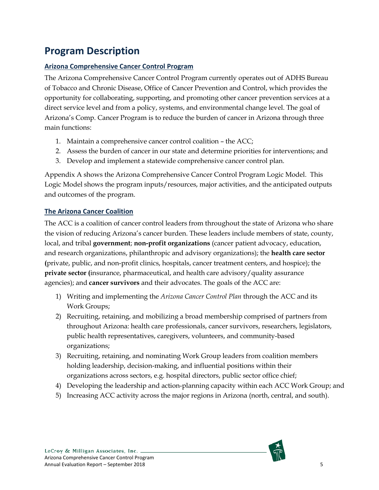# <span id="page-4-0"></span>**Program Description**

# <span id="page-4-1"></span>**Arizona Comprehensive Cancer Control Program**

The Arizona Comprehensive Cancer Control Program currently operates out of ADHS Bureau of Tobacco and Chronic Disease, Office of Cancer Prevention and Control, which provides the opportunity for collaborating, supporting, and promoting other cancer prevention services at a direct service level and from a policy, systems, and environmental change level. The goal of Arizona's Comp. Cancer Program is to reduce the burden of cancer in Arizona through three main functions:

- 1. Maintain a comprehensive cancer control coalition the ACC;
- 2. Assess the burden of cancer in our state and determine priorities for interventions; and
- 3. Develop and implement a statewide comprehensive cancer control plan.

Appendix A shows the Arizona Comprehensive Cancer Control Program Logic Model. This Logic Model shows the program inputs/resources, major activities, and the anticipated outputs and outcomes of the program.

# <span id="page-4-2"></span>**The Arizona Cancer Coalition**

The ACC is a coalition of cancer control leaders from throughout the state of Arizona who share the vision of reducing Arizona's cancer burden. These leaders include members of state, county, local, and tribal **government**; **non-profit organizations** (cancer patient advocacy, education, and research organizations, philanthropic and advisory organizations); the **health care sector (**private, public, and non-profit clinics, hospitals, cancer treatment centers, and hospice); the **private sector (**insurance, pharmaceutical, and health care advisory/quality assurance agencies); and **cancer survivors** and their advocates. The goals of the ACC are:

- 1) Writing and implementing the *Arizona Cancer Control Plan* through the ACC and its Work Groups;
- 2) Recruiting, retaining, and mobilizing a broad membership comprised of partners from throughout Arizona: health care professionals, cancer survivors, researchers, legislators, public health representatives, caregivers, volunteers, and community-based organizations;
- 3) Recruiting, retaining, and nominating Work Group leaders from coalition members holding leadership, decision-making, and influential positions within their organizations across sectors, e.g. hospital directors, public sector office chief;
- 4) Developing the leadership and action-planning capacity within each ACC Work Group; and
- 5) Increasing ACC activity across the major regions in Arizona (north, central, and south).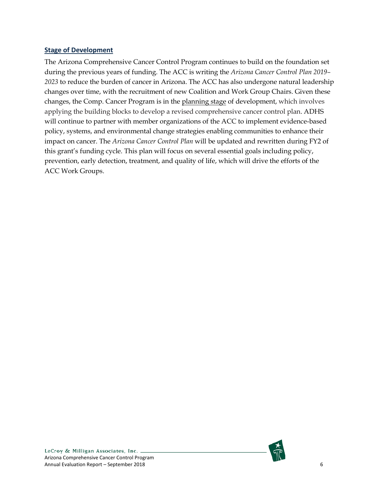#### <span id="page-5-0"></span>**Stage of Development**

The Arizona Comprehensive Cancer Control Program continues to build on the foundation set during the previous years of funding. The ACC is writing the *[Arizona Cancer Control Plan 2019–](http://www.azdhs.gov/documents/prevention/health-systems-development/cancer-prevention-control/data-manuals-forms/14-18-az-cancer-control-plan.pdf) [202](http://www.azdhs.gov/documents/prevention/health-systems-development/cancer-prevention-control/data-manuals-forms/14-18-az-cancer-control-plan.pdf)3* to reduce the burden of cancer in Arizona. The ACC has also undergone natural leadership changes over time, with the recruitment of new Coalition and Work Group Chairs. Given these changes, the Comp. Cancer Program is in the planning stage of development, which involves applying the building blocks to develop a revised comprehensive cancer control plan. ADHS will continue to partner with member organizations of the ACC to implement evidence-based policy, systems, and environmental change strategies enabling communities to enhance their impact on cancer. The *Arizona Cancer Control Plan* will be updated and rewritten during FY2 of this grant's funding cycle. This plan will focus on several essential goals including policy, prevention, early detection, treatment, and quality of life, which will drive the efforts of the ACC Work Groups.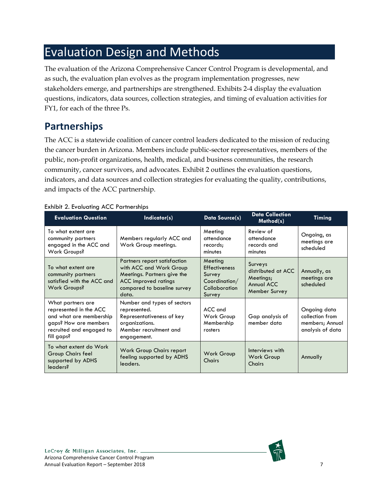# <span id="page-6-0"></span>Evaluation Design and Methods

The evaluation of the Arizona Comprehensive Cancer Control Program is developmental, and as such, the evaluation plan evolves as the program implementation progresses, new stakeholders emerge, and partnerships are strengthened. Exhibits 2-4 display the evaluation questions, indicators, data sources, collection strategies, and timing of evaluation activities for FY1, for each of the three Ps.

# <span id="page-6-1"></span>**Partnerships**

The ACC is a statewide coalition of cancer control leaders dedicated to the mission of reducing the cancer burden in Arizona. Members include public-sector representatives, members of the public, non-profit organizations, health, medical, and business communities, the research community, cancer survivors, and advocates. Exhibit 2 outlines the evaluation questions, indicators, and data sources and collection strategies for evaluating the quality, contributions, and impacts of the ACC partnership.

| <b>Evaluation Question</b>                                                                                                                | Indicator(s)                                                                                                                                                  | <b>Data Source(s)</b>                                                                 | <b>Data Collection</b><br>Method(s)                                               | <b>Timing</b>                                                          |
|-------------------------------------------------------------------------------------------------------------------------------------------|---------------------------------------------------------------------------------------------------------------------------------------------------------------|---------------------------------------------------------------------------------------|-----------------------------------------------------------------------------------|------------------------------------------------------------------------|
| To what extent are<br>community partners<br>engaged in the ACC and<br>Work Groups?                                                        | Members regularly ACC and<br>Work Group meetings.                                                                                                             | Meeting<br>attendance<br>records;<br>minutes                                          | Review of<br>attendance<br>records and<br>minutes                                 | Ongoing, as<br>meetings are<br>scheduled                               |
| To what extent are<br>community partners<br>satisfied with the ACC and<br>Work Groups?                                                    | Partners report satisfaction<br>with ACC and Work Group<br>Meetings. Partners give the<br><b>ACC</b> improved ratings<br>compared to baseline survey<br>data. | Meeting<br><b>Effectiveness</b><br>Survey<br>Coordination/<br>Collaboration<br>Survey | <b>Surveys</b><br>distributed at ACC.<br>Meetings;<br>Annual ACC<br>Member Survey | Annually, as<br>meetings are<br>scheduled                              |
| What partners are<br>represented in the ACC<br>and what are membership<br>gaps? How are members<br>recruited and engaged to<br>fill gaps? | Number and types of sectors<br>represented.<br>Representativeness of key<br>organizations.<br>Member recruitment and<br>engagement.                           | $ACC$ and<br>Work Group<br>Membership<br>rosters                                      | Gap analysis of<br>member data                                                    | Ongoing data<br>collection from<br>members; Annual<br>analysis of data |
| To what extent do Work<br>Group Chairs feel<br>supported by ADHS<br>leaders?                                                              | Work Group Chairs report<br>feeling supported by ADHS<br>leaders.                                                                                             | Work Group<br>Chairs                                                                  | Interviews with<br>Work Group<br>Chairs                                           | Annually                                                               |

#### <span id="page-6-2"></span>Exhibit 2. Evaluating ACC Partnerships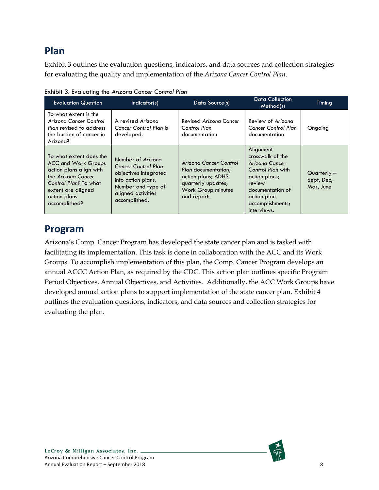# <span id="page-7-0"></span>**Plan**

Exhibit 3 outlines the evaluation questions, indicators, and data sources and collection strategies for evaluating the quality and implementation of the *Arizona Cancer Control Plan*.

| <b>Evaluation Question</b>                                                                                                                                                             | Indicator(s)                                                                                                                                                | Data Source(s)                                                                                                                        | <b>Data Collection</b><br>Method(s)                                                                                                                                   | Timing                                   |
|----------------------------------------------------------------------------------------------------------------------------------------------------------------------------------------|-------------------------------------------------------------------------------------------------------------------------------------------------------------|---------------------------------------------------------------------------------------------------------------------------------------|-----------------------------------------------------------------------------------------------------------------------------------------------------------------------|------------------------------------------|
| To what extent is the<br>Arizona Cancer Control<br>Plan revised to address<br>the burden of cancer in<br>Arizona?                                                                      | A revised Arizona<br>Cancer Control Plan is<br>developed.                                                                                                   | Revised Arizona Cancer<br><b>Control Plan</b><br>documentation                                                                        | Review of Arizona<br><b>Cancer Control Plan</b><br>documentation                                                                                                      | Ongoing                                  |
| To what extent does the<br><b>ACC and Work Groups</b><br>action plans align with<br>the Arizona Cancer<br>Control Plan? To what<br>extent are aligned<br>action plans<br>accomplished? | Number of Arizona<br><b>Cancer Control Plan</b><br>objectives integrated<br>into action plans.<br>Number and type of<br>aligned activities<br>accomplished. | Arizona Cancer Control<br>Plan documentation:<br>action plans; ADHS<br>quarterly updates;<br><b>Work Group minutes</b><br>and reports | Alignment<br>crosswalk of the<br>Arizona Cancer<br>Control Plan with<br>action plans;<br>review<br>documentation of<br>action plan<br>accomplishments;<br>Interviews. | $Quarterly -$<br>Sept, Dec,<br>Mar, June |

<span id="page-7-2"></span>Exhibit 3. Evaluating the *Arizona Cancer Control Plan*

# <span id="page-7-1"></span>**Program**

Arizona's Comp. Cancer Program has developed the state cancer plan and is tasked with facilitating its implementation. This task is done in collaboration with the ACC and its Work Groups. To accomplish implementation of this plan, the Comp. Cancer Program develops an annual ACCC Action Plan, as required by the CDC. This action plan outlines specific Program Period Objectives, Annual Objectives, and Activities. Additionally, the ACC Work Groups have developed annual action plans to support implementation of the state cancer plan. Exhibit 4 outlines the evaluation questions, indicators, and data sources and collection strategies for evaluating the plan.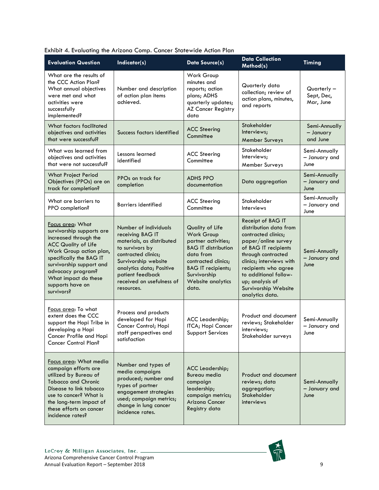| <b>Evaluation Question</b>                                                                                                                                                                                                                                            | Indicator(s)                                                                                                                                                                                                                        | <b>Data Source(s)</b>                                                                                                                                                                             | <b>Data Collection</b><br>Method(s)                                                                                                                                                                                                                                                | <b>Timing</b>                            |
|-----------------------------------------------------------------------------------------------------------------------------------------------------------------------------------------------------------------------------------------------------------------------|-------------------------------------------------------------------------------------------------------------------------------------------------------------------------------------------------------------------------------------|---------------------------------------------------------------------------------------------------------------------------------------------------------------------------------------------------|------------------------------------------------------------------------------------------------------------------------------------------------------------------------------------------------------------------------------------------------------------------------------------|------------------------------------------|
| What are the results of<br>the CCC Action Plan?<br>What annual objectives<br>were met and what<br>activities were<br>successfully<br>implemented?                                                                                                                     | Number and description<br>of action plan items<br>achieved.                                                                                                                                                                         | Work Group<br>minutes and<br>reports; action<br>plans; ADHS<br>quarterly updates;<br><b>AZ Cancer Registry</b><br>data                                                                            | Quarterly data<br>collection; review of<br>action plans, minutes,<br>and reports                                                                                                                                                                                                   | $Quarterly -$<br>Sept, Dec,<br>Mar, June |
| What factors facilitated<br>objectives and activities<br>that were successful?                                                                                                                                                                                        | Success factors identified                                                                                                                                                                                                          | <b>ACC Steering</b><br>Committee                                                                                                                                                                  | Stakeholder<br>Interviews;<br>Member Surveys                                                                                                                                                                                                                                       | Semi-Annually<br>- January<br>and June   |
| What was learned from<br>objectives and activities<br>that were not successful?                                                                                                                                                                                       | Lessons learned<br>identified                                                                                                                                                                                                       | <b>ACC Steering</b><br>Committee                                                                                                                                                                  | Stakeholder<br>Interviews;<br>Member Surveys                                                                                                                                                                                                                                       | Semi-Annually<br>- January and<br>June   |
| <b>What Project Period</b><br>Objectives (PPOs) are on<br>track for completion?                                                                                                                                                                                       | PPOs on track for<br>completion                                                                                                                                                                                                     | <b>ADHS PPO</b><br>documentation                                                                                                                                                                  | Data aggregation                                                                                                                                                                                                                                                                   | Semi-Annually<br>- January and<br>June   |
| What are barriers to<br>PPO completion?                                                                                                                                                                                                                               | <b>Barriers identified</b>                                                                                                                                                                                                          | <b>ACC Steering</b><br>Committee                                                                                                                                                                  | Stakeholder<br>Interviews                                                                                                                                                                                                                                                          | Semi-Annually<br>- January and<br>June   |
| Focus area: What<br>survivorship supports are<br>increased through the<br><b>ACC Quality of Life</b><br>Work Group action plan,<br>specifically the BAG IT<br>survivorship support and<br>advocacy program?<br>What impact do these<br>supports have on<br>survivors? | Number of individuals<br>receiving BAG IT<br>materials, as distributed<br>to survivors by<br>contracted clinics;<br>Survivorship website<br>analytics data; Positive<br>patient feedback<br>received on usefulness of<br>resources. | Quality of Life<br>Work Group<br>partner activities;<br><b>BAG IT distribution</b><br>data from<br>contracted clinics;<br><b>BAG IT recipients;</b><br>Survivorship<br>Website analytics<br>data. | Receipt of BAG IT<br>distribution data from<br>contracted clinics;<br>paper/online survey<br>of BAG IT recipients<br>through contracted<br>clinics; interviews with<br>recipients who agree<br>to additional follow-<br>up; analysis of<br>Survivorship Website<br>analytics data. | Semi-Annually<br>- January and<br>June   |
| Focus area: To what<br>extent does the CCC<br>support the Hopi Tribe in<br>developing a Hopi<br>Cancer Profile and Hopi<br><b>Cancer Control Plan?</b>                                                                                                                | Process and products<br>developed for Hopi<br>Cancer Control; Hopi<br>staff perspectives and<br>satisfaction                                                                                                                        | ACC Leadership;<br>ITCA; Hopi Cancer<br>Support Services                                                                                                                                          | Product and document<br>reviews; Stakeholder<br>interviews;<br>Stakeholder surveys                                                                                                                                                                                                 | Semi-Annually<br>- January and<br>June   |
| Focus area: What media<br>campaign efforts are<br>utilized by Bureau of<br><b>Tobacco and Chronic</b><br>Disease to link tobacco<br>use to cancer? What is<br>the long-term impact of<br>these efforts on cancer<br>incidence rates?                                  | Number and types of<br>media campaigns<br>produced; number and<br>types of partner<br>engagement strategies<br>used; campaign metrics;<br>change in lung cancer<br>incidence rates.                                                 | ACC Leadership;<br>Bureau media<br>campaign<br>leadership;<br>campaign metrics;<br>Arizona Cancer<br>Registry data                                                                                | Product and document<br>reviews; data<br>aggregation;<br>Stakeholder<br>interviews                                                                                                                                                                                                 | Semi-Annually<br>- January and<br>June   |

<span id="page-8-0"></span>

| Exhibit 4. Evaluating the Arizona Comp. Cancer Statewide Action Plan |  |  |
|----------------------------------------------------------------------|--|--|
|                                                                      |  |  |

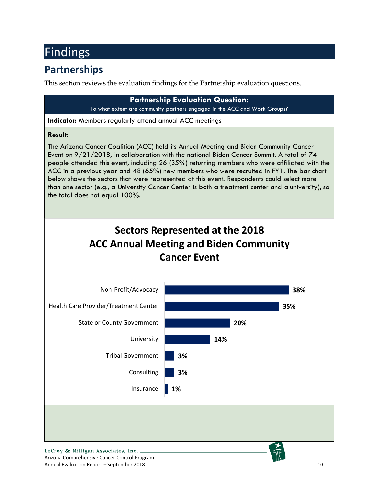# <span id="page-9-0"></span>Findings

# <span id="page-9-1"></span>**Partnerships**

This section reviews the evaluation findings for the Partnership evaluation questions.



Annual Evaluation Report – September 2018 10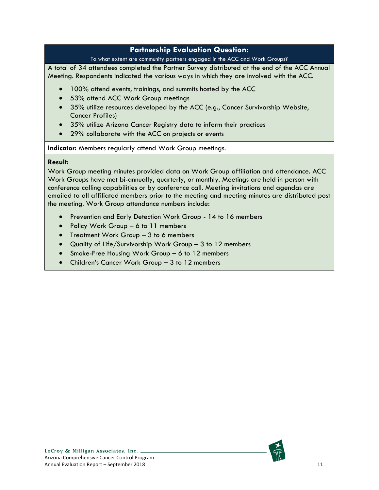### **Partnership Evaluation Question:**

#### To what extent are community partners engaged in the ACC and Work Groups?

A total of 34 attendees completed the Partner Survey distributed at the end of the ACC Annual Meeting. Respondents indicated the various ways in which they are involved with the ACC.

- 100% attend events, trainings, and summits hosted by the ACC
- 53% attend ACC Work Group meetings
- 35% utilize resources developed by the ACC (e.g., Cancer Survivorship Website, Cancer Profiles)
- 35% utilize Arizona Cancer Registry data to inform their practices
- 29% collaborate with the ACC on projects or events

**Indicator:** Members regularly attend Work Group meetings.

#### **Result:**

Work Group meeting minutes provided data on Work Group affiliation and attendance. ACC Work Groups have met bi-annually, quarterly, or monthly. Meetings are held in person with conference calling capabilities or by conference call. Meeting invitations and agendas are emailed to all affiliated members prior to the meeting and meeting minutes are distributed post the meeting. Work Group attendance numbers include:

- Prevention and Early Detection Work Group 14 to 16 members
- Policy Work Group 6 to 11 members
- Treatment Work Group 3 to 6 members
- Quality of Life/Survivorship Work Group 3 to 12 members
- Smoke-Free Housing Work Group 6 to 12 members
- Children's Cancer Work Group 3 to 12 members

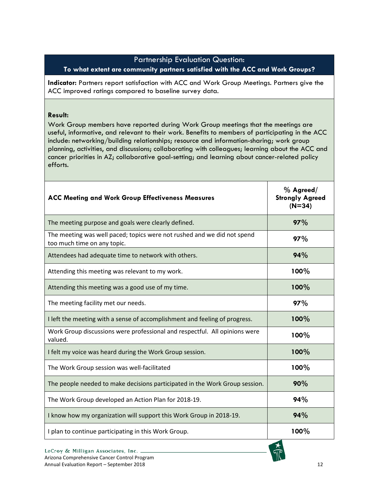### Partnership Evaluation Question: **To what extent are community partners satisfied with the ACC and Work Groups?**

**Indicator:** Partners report satisfaction with ACC and Work Group Meetings. Partners give the ACC improved ratings compared to baseline survey data.

#### **Result:**

Work Group members have reported during Work Group meetings that the meetings are useful, informative, and relevant to their work. Benefits to members of participating in the ACC include: networking/building relationships; resource and information-sharing; work group planning, activities, and discussions; collaborating with colleagues; learning about the ACC and cancer priorities in AZ; collaborative goal-setting; and learning about cancer-related policy efforts.

| <b>ACC Meeting and Work Group Effectiveness Measures</b>                                               | $%$ Agreed/<br><b>Strongly Agreed</b><br>$(N=34)$ |
|--------------------------------------------------------------------------------------------------------|---------------------------------------------------|
| The meeting purpose and goals were clearly defined.                                                    | 97%                                               |
| The meeting was well paced; topics were not rushed and we did not spend<br>too much time on any topic. | 97%                                               |
| Attendees had adequate time to network with others.                                                    | 94%                                               |
| Attending this meeting was relevant to my work.                                                        | 100%                                              |
| Attending this meeting was a good use of my time.                                                      | 100%                                              |
| The meeting facility met our needs.                                                                    | 97%                                               |
| I left the meeting with a sense of accomplishment and feeling of progress.                             | 100%                                              |
| Work Group discussions were professional and respectful. All opinions were<br>valued.                  | 100%                                              |
| I felt my voice was heard during the Work Group session.                                               | 100%                                              |
| The Work Group session was well-facilitated                                                            | 100%                                              |
| The people needed to make decisions participated in the Work Group session.                            | 90%                                               |
| The Work Group developed an Action Plan for 2018-19.                                                   | 94%                                               |
| I know how my organization will support this Work Group in 2018-19.                                    | 94%                                               |
| I plan to continue participating in this Work Group.                                                   | 100%                                              |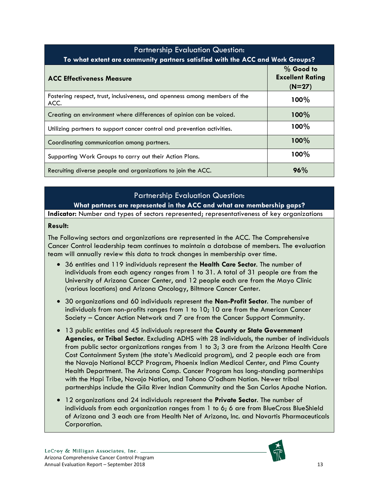| <b>Partnership Evaluation Question:</b>                                            |                                                    |  |  |  |
|------------------------------------------------------------------------------------|----------------------------------------------------|--|--|--|
| To what extent are community partners satisfied with the ACC and Work Groups?      |                                                    |  |  |  |
| <b>ACC Effectiveness Measure</b>                                                   | $%$ Good to<br><b>Excellent Rating</b><br>$(N=27)$ |  |  |  |
| Fostering respect, trust, inclusiveness, and openness among members of the<br>ACC. | 100%                                               |  |  |  |
| Creating an environment where differences of opinion can be voiced.                | 100%                                               |  |  |  |
| Utilizing partners to support cancer control and prevention activities.            | 100%                                               |  |  |  |
| Coordinating communication among partners.                                         | 100%                                               |  |  |  |
| Supporting Work Groups to carry out their Action Plans.                            | 100%                                               |  |  |  |
| Recruiting diverse people and organizations to join the ACC.                       | 96%                                                |  |  |  |

### Partnership Evaluation Question:

**What partners are represented in the ACC and what are membership gaps?**

**Indicator:** Number and types of sectors represented; representativeness of key organizations

#### **Result:**

The Following sectors and organizations are represented in the ACC. The Comprehensive Cancer Control leadership team continues to maintain a database of members. The evaluation team will annually review this data to track changes in membership over time.

- 36 entities and 119 individuals represent the **Health Care Sector**. The number of individuals from each agency ranges from 1 to 31. A total of 31 people are from the University of Arizona Cancer Center, and 12 people each are from the Mayo Clinic (various locations) and Arizona Oncology, Biltmore Cancer Center.
- 30 organizations and 60 individuals represent the **Non-Profit Sector**. The number of individuals from non-profits ranges from 1 to 10; 10 are from the American Cancer Society – Cancer Action Network and 7 are from the Cancer Support Community.
- 13 public entities and 45 individuals represent the **County or State Government Agencies, or Tribal Sector**. Excluding ADHS with 28 individuals, the number of individuals from public sector organizations ranges from 1 to 3; 3 are from the Arizona Health Care Cost Containment System (the state's Medicaid program), and 2 people each are from the Navajo National BCCP Program, Phoenix Indian Medical Center, and Pima County Health Department. The Arizona Comp. Cancer Program has long-standing partnerships with the Hopi Tribe, Navajo Nation, and Tohono O'odham Nation. Newer tribal partnerships include the Gila River Indian Community and the San Carlos Apache Nation.
- 12 organizations and 24 individuals represent the **Private Sector**. The number of individuals from each organization ranges from 1 to 6; 6 are from BlueCross BlueShield of Arizona and 3 each are from Health Net of Arizona, Inc. and Novartis Pharmaceuticals Corporation.

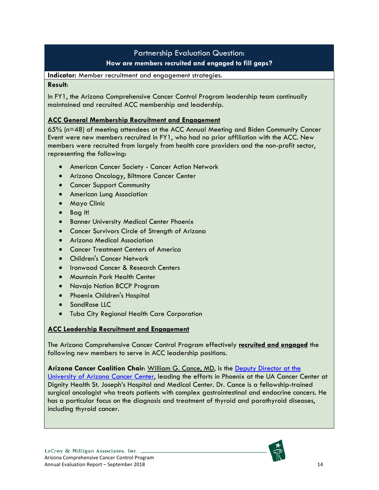# Partnership Evaluation Question: **How are members recruited and engaged to fill gaps?**

**Indicator:** Member recruitment and engagement strategies.

#### **Result**:

In FY1, the Arizona Comprehensive Cancer Control Program leadership team continually maintained and recruited ACC membership and leadership.

#### **ACC General Membership Recruitment and Engagement**

65% (n=48) of meeting attendees at the ACC Annual Meeting and Biden Community Cancer Event were new members recruited in FY1, who had no prior affiliation with the ACC. New members were recruited from largely from health care providers and the non-profit sector, representing the following:

- American Cancer Society Cancer Action Network
- Arizona Oncology, Biltmore Cancer Center
- Cancer Support Community
- American Lung Association
- Mayo Clinic
- Bag It!
- Banner University Medical Center Phoenix
- Cancer Survivors Circle of Strength of Arizona
- Arizona Medical Association
- Cancer Treatment Centers of America
- Children's Cancer Network
- Ironwood Cancer & Research Centers
- Mountain Park Health Center
- Navajo Nation BCCP Program
- Phoenix Children's Hospital
- SandRose LLC
- Tuba City Regional Health Care Corporation

### **ACC Leadership Recruitment and Engagement**

The Arizona Comprehensive Cancer Control Program effectively **recruited and engaged** the following new members to serve in ACC leadership positions.

**Arizona Cancer Coalition Chair**: William G. Cance, MD, is the [Deputy Director at the](http://uacc.arizona.edu/profile/william-cance)  [University of Arizona Cancer Center,](http://uacc.arizona.edu/profile/william-cance) leading the efforts in Phoenix at the UA Cancer Center at Dignity Health St. Joseph's Hospital and Medical Center. Dr. Cance is a fellowship-trained surgical oncologist who treats patients with complex gastrointestinal and endocrine cancers. He has a particular focus on the diagnosis and treatment of thyroid and parathyroid diseases, including thyroid cancer.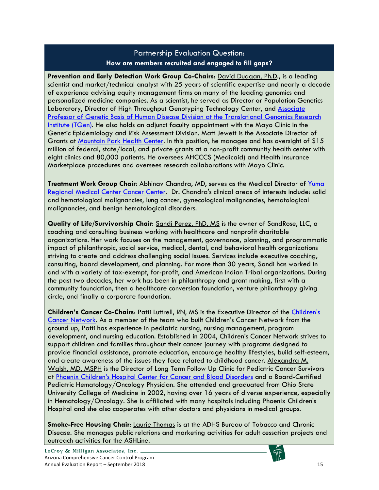### Partnership Evaluation Question: **How are members recruited and engaged to fill gaps?**

**Prevention and Early Detection Work Group Co-Chairs**: David Duggan, Ph.D., is a leading scientist and market/technical analyst with 25 years of scientific expertise and nearly a decade of experience advising equity management firms on many of the leading genomics and personalized medicine companies. As a scientist, he served as Director or Population Genetics Laboratory, Director of High Throughput Genotyping Technology Center, and Associate Professor [of Genetic Basis of Human Disease Division](https://www.tgen.org/faculty-profiles/david-duggan/) at the Translational Genomics Research [Institute \(TGen\).](https://www.tgen.org/faculty-profiles/david-duggan/) He also holds an adjunct faculty appointment with the Mayo Clinic in the Genetic Epidemiology and Risk Assessment Division. Matt Jewett is the Associate Director of Grants at [Mountain Park Health Center.](http://mountainparkhealth.org/) In this position, he manages and has oversight of \$15 million of federal, state/local, and private grants at a non-profit community health center with eight clinics and 80,000 patients. He oversees AHCCCS (Medicaid) and Health Insurance Marketplace procedures and oversees research collaborations with Mayo Clinic.

**Treatment Work Group Chair**: Abhinav Chandra, MD, serves as the Medical Director of [Yuma](https://www.yumaregional.org/For-Patients/Find-a-Physician/Physician-List/Physician-Bio/Abhinav_B_Chandra)  [Regional Medical Center](https://www.yumaregional.org/For-Patients/Find-a-Physician/Physician-List/Physician-Bio/Abhinav_B_Chandra) Cancer Center. Dr. Chandra's clinical areas of interests include: solid and hematological malignancies, lung cancer, gynecological malignancies, hematological malignancies, and benign hematological disorders.

**Quality of Life/Survivorship Chair**: Sandi Perez, PhD, MS is the owner of SandRose, LLC, a coaching and consulting business working with healthcare and nonprofit charitable organizations. Her work focuses on the management, governance, planning, and programmatic impact of philanthropic, social service, medical, dental, and behavioral health organizations striving to create and address challenging social issues. Services include executive coaching, consulting, board development, and planning. For more than 30 years, Sandi has worked in and with a variety of tax-exempt, for-profit, and American Indian Tribal organizations. During the past two decades, her work has been in philanthropy and grant making, first with a community foundation, then a healthcare conversion foundation, venture philanthropy giving circle, and finally a corporate foundation.

**Children's Cancer Co-Chairs**: Patti Luttrell, RN, MS is the Executive Director of the [Children's](https://www.childrenscancernetwork.org/)  [Cancer Network.](https://www.childrenscancernetwork.org/) As a member of the team who built Children's Cancer Network from the ground up, Patti has experience in pediatric nursing, nursing management, program development, and nursing education. Established in 2004, Children's Cancer Network strives to support children and families throughout their cancer journey with programs designed to provide financial assistance, promote education, encourage healthy lifestyles, build self-esteem, and create awareness of the issues they face related to childhood cancer. Alexandra M. Walsh, MD, MSPH is the Director of Long Term Follow Up Clinic for Pediatric Cancer Survivors at [Phoenix Children's Hospital Center for Cancer and Blood Disorders](https://www.phoenixchildrens.org/centers-programs/cancer-blood-disorders) and a Board-Certified Pediatric Hematology/Oncology Physician. She attended and graduated from Ohio State University College of Medicine in 2002, having over 16 years of diverse experience, especially in Hematology/Oncology. She is affiliated with many hospitals including Phoenix Children's Hospital and she also cooperates with other doctors and physicians in medical groups.

**Smoke-Free Housing Chair:** Laurie Thomas is at the ADHS Bureau of Tobacco and Chronic Disease. She manages public relations and marketing activities for adult cessation projects and outreach activities for the ASHLine.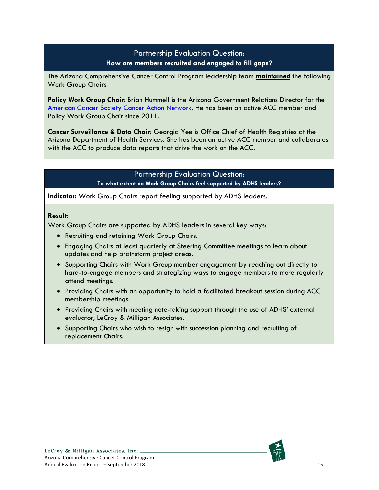### Partnership Evaluation Question: **How are members recruited and engaged to fill gaps?**

The Arizona Comprehensive Cancer Control Program leadership team **maintained** the following Work Group Chairs.

**Policy Work Group Chair**: Brian Hummell is the Arizona Government Relations Director for the [American Cancer Society Cancer Action Network.](https://www.fightcancer.org/states/arizona) He has been an active ACC member and Policy Work Group Chair since 2011.

**Cancer Surveillance & Data Chair**: Georgia Yee is Office Chief of Health Registries at the Arizona Department of Health Services. She has been an active ACC member and collaborates with the ACC to produce data reports that drive the work on the ACC.

### Partnership Evaluation Question: **To what extent do Work Group Chairs feel supported by ADHS leaders?**

**Indicator:** Work Group Chairs report feeling supported by ADHS leaders.

#### **Result:**

Work Group Chairs are supported by ADHS leaders in several key ways:

- Recruiting and retaining Work Group Chairs.
- Engaging Chairs at least quarterly at Steering Committee meetings to learn about updates and help brainstorm project areas.
- Supporting Chairs with Work Group member engagement by reaching out directly to hard-to-engage members and strategizing ways to engage members to more regularly attend meetings.
- Providing Chairs with an opportunity to hold a facilitated breakout session during ACC membership meetings.
- Providing Chairs with meeting note-taking support through the use of ADHS' external evaluator, LeCroy & Milligan Associates.
- Supporting Chairs who wish to resign with succession planning and recruiting of replacement Chairs.

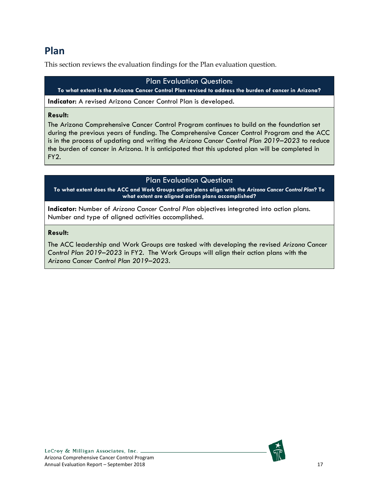# <span id="page-16-0"></span>**Plan**

This section reviews the evaluation findings for the Plan evaluation question.

### Plan Evaluation Question:

**To what extent is the Arizona Cancer Control Plan revised to address the burden of cancer in Arizona?**

**Indicator:** A revised Arizona Cancer Control Plan is developed.

#### **Result:**

The Arizona Comprehensive Cancer Control Program continues to build on the foundation set during the previous years of funding. The Comprehensive Cancer Control Program and the ACC is in the process of updating and writing the *[Arizona Cancer Control Plan 2019–202](http://www.azdhs.gov/documents/prevention/health-systems-development/cancer-prevention-control/data-manuals-forms/14-18-az-cancer-control-plan.pdf)3* to reduce the burden of cancer in Arizona. It is anticipated that this updated plan will be completed in FY2.

### Plan Evaluation Question**:**

**To what extent does the ACC and Work Groups action plans align with the** *Arizona Cancer Control Plan***? To what extent are aligned action plans accomplished?**

**Indicator:** Number of *Arizona Cancer Control Plan* objectives integrated into action plans. Number and type of aligned activities accomplished.

### **Result:**

The ACC leadership and Work Groups are tasked with developing the revised *[Arizona Cancer](http://www.azdhs.gov/documents/prevention/health-systems-development/cancer-prevention-control/data-manuals-forms/14-18-az-cancer-control-plan.pdf)  [Control Plan 2019–202](http://www.azdhs.gov/documents/prevention/health-systems-development/cancer-prevention-control/data-manuals-forms/14-18-az-cancer-control-plan.pdf)3* in FY2. The Work Groups will align their action plans with the *[Arizona Cancer Control Plan 2019–202](http://www.azdhs.gov/documents/prevention/health-systems-development/cancer-prevention-control/data-manuals-forms/14-18-az-cancer-control-plan.pdf)3*.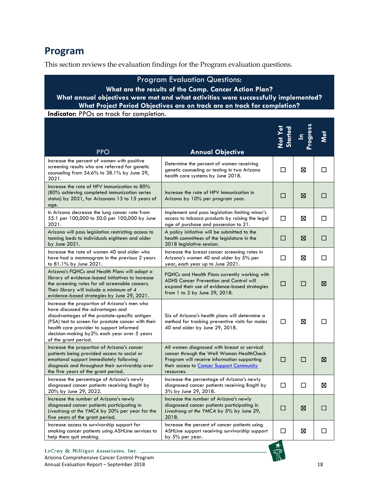# <span id="page-17-0"></span>**Program**

This section reviews the evaluation findings for the Program evaluation questions.

# Program Evaluation Questions:

#### **What are the results of the Comp. Cancer Action Plan? What annual objectives were met and what activities were successfully implemented? What Project Period Objectives are on track are on track for completion?**

**Indicator:** PPOs on track for completion.

| <b>PPO</b>                                                                                                                                                                                                                                                                                                     | <b>Annual Objective</b>                                                                                                                                                                           | Not Yet<br>Started |        |        |
|----------------------------------------------------------------------------------------------------------------------------------------------------------------------------------------------------------------------------------------------------------------------------------------------------------------|---------------------------------------------------------------------------------------------------------------------------------------------------------------------------------------------------|--------------------|--------|--------|
| Increase the percent of women with positive<br>screening results who are referred for genetic<br>counseling from 34.6% to 38.1% by June 29,<br>2021.                                                                                                                                                           | Determine the percent of women receiving<br>genetic counseling or testing in two Arizona<br>health care systems by June 2018.                                                                     | □                  | ⊠      | П      |
| Increase the rate of HPV Immunization to 80%<br>(80% achieving completed immunization series<br>status) by 2021, for Arizonans 13 to 15 years of<br>age.                                                                                                                                                       | Increase the rate of HPV Immunization in<br>Arizona by 10% per program year.                                                                                                                      | П                  | ⊠      | П      |
| In Arizona decrease the lung cancer rate from<br>55.1 per 100,000 to 50.0 per 100,000 by June<br>2021.                                                                                                                                                                                                         | Implement and pass legislation limiting minor's<br>access to tobacco products by raising the legal<br>age of purchase and possession to 21.                                                       | П                  | ⊠      | П      |
| Arizona will pass legislation restricting access to<br>tanning beds to individuals eighteen and older<br>by June 2021.                                                                                                                                                                                         | A policy initiative will be submitted to the<br>health committees of the legislature in the<br>2018 legislative session.                                                                          | □                  | ⊠      | $\Box$ |
| Increase the rate of women 40 and older who<br>have had a mammogram in the previous 2 years<br>to 81.1% by June 2021.                                                                                                                                                                                          | Increase the breast cancer screening rates in<br>Arizona's women 40 and older by 5% per<br>year, each year up to June 2021.                                                                       | □                  | ⊠      | □      |
| Arizona's FQHCs and Health Plans will adopt a<br>library of evidence-based initiatives to increase<br>the screening rates for all screenable cancers.<br>Their library will include a minimum of 4<br>evidence-based strategies by June 29, 2021.                                                              | FQHCs and Health Plans currently working with<br><b>ADHS Cancer Prevention and Control will</b><br>expand their use of evidence-based strategies<br>from 1 to 2 by June 29, 2018.                 | □                  | $\Box$ | ⊠      |
| Increase the proportion of Arizona's men who<br>have discussed the advantages and<br>disadvantages of the prostate-specific antigen<br>(PSA) test to screen for prostate cancer with their<br>health care provider to support informed<br>decision-making by 2% each year over 5 years<br>of the grant period. | Six of Arizona's health plans will determine a<br>method for tracking preventive visits for males<br>40 and older by June 29, 2018.                                                               | □                  | ⊠      | П      |
| Increase the proportion of Arizona's cancer<br>patients being provided access to social or<br>emotional support immediately following<br>diagnosis and throughout their survivorship over<br>the five years of the grant period.                                                                               | All women diagnosed with breast or cervical<br>cancer through the Well Woman HealthCheck<br>Program will receive information supporting<br>their access to Cancer Support Community<br>resources. | П                  | П      | ⊠      |
| Increase the percentage of Arizona's newly<br>diagnosed cancer patients receiving Baglt! by<br>20% by June 29, 2022.                                                                                                                                                                                           | Increase the percentage of Arizona's newly<br>diagnosed cancer patients receiving Bagit! by<br>5% by June 29, 2018.                                                                               | □                  | □      | ⊠      |
| Increase the number of Arizona's newly<br>diagnosed cancer patients participating in<br>Livestrong at the YMCA by 20% per year for the<br>five years of the grant period.                                                                                                                                      | Increase the number of Arizona's newly<br>diagnosed cancer patients participating in<br>Livestrong at the YMCA by 5% by June 29,<br>2018.                                                         | □                  | ⊠      | □      |
| Increase access to survivorship support for<br>smoking cancer patients using ASHLine services to<br>help them quit smoking.                                                                                                                                                                                    | Increase the percent of cancer patients using<br>ASHLine support receiving survivorship support<br>by 5% per year.                                                                                | П                  | ⊠      | П      |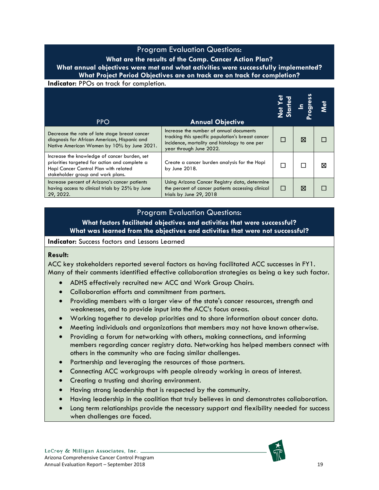#### **What are the results of the Comp. Cancer Action Plan? What annual objectives were met and what activities were successfully implemented? What Project Period Objectives are on track are on track for completion?**

**Indicator:** PPOs on track for completion.

| <b>PPO</b>                                                                                                                                                                  | <b>Annual Objective</b>                                                                                                                                                  |        |   |   |
|-----------------------------------------------------------------------------------------------------------------------------------------------------------------------------|--------------------------------------------------------------------------------------------------------------------------------------------------------------------------|--------|---|---|
| Decrease the rate of late stage breast cancer<br>diagnosis for African American, Hispanic and<br>Native American Women by 10% by June 2021.                                 | Increase the number of annual documents<br>tracking this specific population's breast cancer<br>incidence, mortality and histology to one per<br>year through June 2022. | П      | ⊠ |   |
| Increase the knowledge of cancer burden, set<br>priorities targeted for action and complete a<br>Hopi Cancer Control Plan with related<br>stakeholder group and work plans. | Create a cancer burden analysis for the Hopi<br>by June 2018.                                                                                                            |        |   | X |
| Increase percent of Arizona's cancer patients<br>having access to clinical trials by 25% by June<br>29, 2022.                                                               | Using Arizona Cancer Registry data, determine<br>the percent of cancer patients accessing clinical<br>trials by June 29, 2018                                            | $\Box$ | ⊠ |   |

### Program Evaluation Questions:

**What factors facilitated objectives and activities that were successful? What was learned from the objectives and activities that were not successful?**

#### **Indicator:** Success factors and Lessons Learned

#### **Result:**

ACC key stakeholders reported several factors as having facilitated ACC successes in FY1. Many of their comments identified effective collaboration strategies as being a key such factor.

- ADHS effectively recruited new ACC and Work Group Chairs.
- Collaboration efforts and commitment from partners.
- Providing members with a larger view of the state's cancer resources, strength and weaknesses, and to provide input into the ACC's focus areas.
- Working together to develop priorities and to share information about cancer data.
- Meeting individuals and organizations that members may not have known otherwise.
- Providing a forum for networking with others, making connections, and informing members regarding cancer registry data. Networking has helped members connect with others in the community who are facing similar challenges.
- Partnership and leveraging the resources of those partners.
- Connecting ACC workgroups with people already working in areas of interest.
- Creating a trusting and sharing environment.
- Having strong leadership that is respected by the community.
- Having leadership in the coalition that truly believes in and demonstrates collaboration.
- Long term relationships provide the necessary support and flexibility needed for success when challenges are faced.

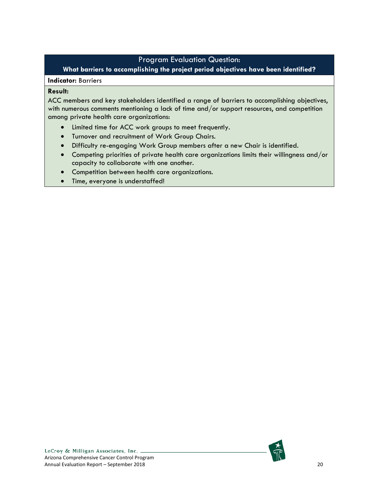**What barriers to accomplishing the project period objectives have been identified?**

#### **Indicator:** Barriers

#### **Result:**

ACC members and key stakeholders identified a range of barriers to accomplishing objectives, with numerous comments mentioning a lack of time and/or support resources, and competition among private health care organizations:

- Limited time for ACC work groups to meet frequently.
- Turnover and recruitment of Work Group Chairs.
- Difficulty re-engaging Work Group members after a new Chair is identified.
- Competing priorities of private health care organizations limits their willingness and/or capacity to collaborate with one another.
- Competition between health care organizations.
- Time, everyone is understaffed!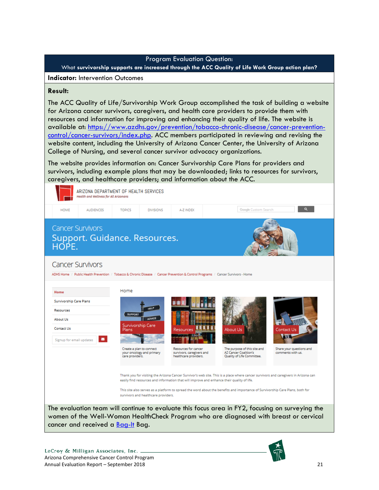What **survivorship supports are increased through the ACC Quality of Life Work Group action plan?**

**Indicator:** Intervention Outcomes

#### **Result:**

The ACC Quality of Life/Survivorship Work Group accomplished the task of building a website for Arizona cancer survivors**,** caregivers**,** and health care providers to provide them with resources and information for improving and enhancing their quality of life. The website is available at: [https://www.azdhs.gov/prevention/tobacco-chronic-disease/cancer-prevention](https://www.azdhs.gov/prevention/tobacco-chronic-disease/cancer-prevention-control/cancer-survivors/index.php)[control/cancer-survivors/index.php.](https://www.azdhs.gov/prevention/tobacco-chronic-disease/cancer-prevention-control/cancer-survivors/index.php) ACC members participated in reviewing and revising the website content, including the University of Arizona Cancer Center, the University of Arizona College of Nursing, and several cancer survivor advocacy organizations.

The website provides information on: Cancer Survivorship Care Plans for providers and survivors, including example plans that may be downloaded; links to resources for survivors, caregivers, and healthcare providers; and information about the ACC.



This site also serves as a platform to spread the word about the benefits and importance of Survivorship Care Plans, both for survivors and healthcare providers.

The evaluation team will continue to evaluate this focus area in FY2, focusing on surveying the women of the Well-Woman HealthCheck Program who are diagnosed with breast or cervical cancer and received a [Bag-It](http://bagit4u.org/) Bag.

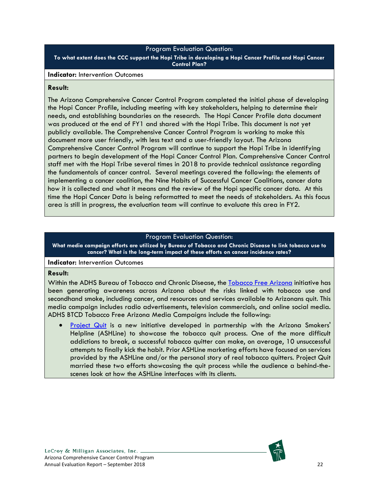**To what extent does the CCC support the Hopi Tribe in developing a Hopi Cancer Profile and Hopi Cancer Control Plan?**

#### **Indicator:** Intervention Outcomes

#### **Result:**

The Arizona Comprehensive Cancer Control Program completed the initial phase of developing the Hopi Cancer Profile, including meeting with key stakeholders, helping to determine their needs, and establishing boundaries on the research. The Hopi Cancer Profile data document was produced at the end of FY1 and shared with the Hopi Tribe. This document is not yet publicly available. The Comprehensive Cancer Control Program is working to make this document more user friendly, with less text and a user-friendly layout. The Arizona Comprehensive Cancer Control Program will continue to support the Hopi Tribe in identifying partners to begin development of the Hopi Cancer Control Plan. Comprehensive Cancer Control staff met with the Hopi Tribe several times in 2018 to provide technical assistance regarding the fundamentals of cancer control. Several meetings covered the following: the elements of implementing a cancer coalition, the Nine Habits of Successful Cancer Coalitions, cancer data how it is collected and what it means and the review of the Hopi specific cancer data. At this time the Hopi Cancer Data is being reformatted to meet the needs of stakeholders. As this focus area is still in progress, the evaluation team will continue to evaluate this area in FY2.

#### Program Evaluation Question:

**What media campaign efforts are utilized by Bureau of Tobacco and Chronic Disease to link tobacco use to cancer? What is the long-term impact of these efforts on cancer incidence rates?**

#### **Indicator:** Intervention Outcomes

#### **Result:**

Within the ADHS Bureau of Tobacco and Chronic Disease, the [Tobacco Free Arizona](https://www.azdhs.gov/prevention/tobacco-chronic-disease/tobacco-free-az/index.php) initiative has been generating awareness across Arizona about the risks linked with tobacco use and secondhand smoke, including cancer, and resources and services available to Arizonans quit. This media campaign includes radio advertisements, television commercials, and online social media. ADHS BTCD Tobacco Free Arizona Media Campaigns include the following:

[Project Quit](http://ashline.org/) is a new initiative developed in partnership with the Arizona Smokers' Helpline (ASHLine) to showcase the tobacco quit process. One of the more difficult addictions to break, a successful tobacco quitter can make, on average, 10 unsuccessful attempts to finally kick the habit. Prior ASHLine marketing efforts have focused on services provided by the ASHLine and/or the personal story of real tobacco quitters. Project Quit married these two efforts showcasing the quit process while the audience a behind-thescenes look at how the ASHLine interfaces with its clients.

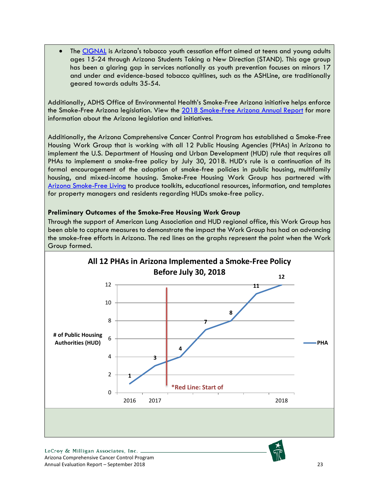The [CIGNAL](http://www.standaz.com/) is Arizona's tobacco youth cessation effort aimed at teens and young adults ages 15-24 through Arizona Students Taking a New Direction (STAND). This age group has been a glaring gap in services nationally as youth prevention focuses on minors 17 and under and evidence-based tobacco quitlines, such as the ASHLine, are traditionally geared towards adults 35-54.

Additionally, ADHS Office of Environmental Health's [Smoke-Free Arizona](https://www.azdhs.gov/preparedness/epidemiology-disease-control/smoke-free-arizona/index.php) initiative helps enforce the Smoke-Free Arizona legislation. View the [2018 Smoke-Free Arizona Annual Report](https://www.azdhs.gov/documents/preparedness/epidemiology-disease-control/smoke-free-arizona/reports/sfa-annual-report-2018.PDF) for more information about the Arizona legislation and initiatives.

Additionally, the Arizona Comprehensive Cancer Control Program has established a Smoke-Free Housing Work Group that is working with all 12 Public Housing Agencies (PHAs) in Arizona to implement the U.S. Department of Housing and Urban Development (HUD) rule that requires all PHAs to implement a smoke-free policy by July 30, 2018. HUD's rule is a continuation of its formal encouragement of the adoption of smoke-free policies in public housing, multifamily housing, and mixed-income housing. Smoke-Free Housing Work Group has partnered with [Arizona Smoke-Free Living](http://www.azsmokefreeliving.org/) to produce toolkits, educational resources, information, and templates for property managers and residents regarding HUDs smoke-free policy.

#### **Preliminary Outcomes of the Smoke-Free Housing Work Group**

Through the support of American Lung Association and HUD regional office, this Work Group has been able to capture measures to demonstrate the impact the Work Group has had on advancing the smoke-free efforts in Arizona. The red lines on the graphs represent the point when the Work Group formed.

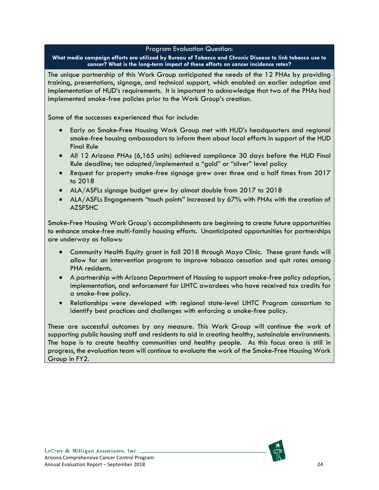**What media campaign efforts are utilized by Bureau of Tobacco and Chronic Disease to link tobacco use to cancer? What is the long-term impact of these efforts on cancer incidence rates?**

The unique partnership of this Work Group anticipated the needs of the 12 PHAs by providing training, presentations, signage, and technical support, which enabled an earlier adoption and implementation of HUD's requirements. It is important to acknowledge that two of the PHAs had implemented smoke-free policies prior to the Work Group's creation.

Some of the successes experienced thus far include:

- Early on Smoke-Free Housing Work Group met with HUD's headquarters and regional smoke-free housing ambassadors to inform them about local efforts in support of the HUD Final Rule
- All 12 Arizona PHAs (6,165 units) achieved compliance 30 days before the HUD Final Rule deadline; ten adopted/implemented a "gold" or "silver" level policy
- Request for property smoke-free signage grew over three and a half times from 2017 to 2018
- ALA/ASFLs signage budget grew by almost double from 2017 to 2018
- ALA/ASFLs Engagements "touch points" increased by 67% with PHAs with the creation of AZSFSHC

Smoke-Free Housing Work Group's accomplishments are beginning to create future opportunities to enhance smoke-free multi-family housing efforts. Unanticipated opportunities for partnerships are underway as follows:

- Community Health Equity grant in fall 2018 through Mayo Clinic. These grant funds will allow for an intervention program to improve tobacco cessation and quit rates among PHA residents.
- A partnership with Arizona Department of Housing to support smoke-free policy adoption, implementation, and enforcement for LIHTC awardees who have received tax credits for a smoke-free policy.
- Relationships were developed with regional state-level LIHTC Program consortium to identify best practices and challenges with enforcing a smoke-free policy.

These are successful outcomes by any measure. This Work Group will continue the work of supporting public housing staff and residents to aid in creating healthy, sustainable environments. The hope is to create healthy communities and healthy people. As this focus area is still in progress, the evaluation team will continue to evaluate the work of the Smoke-Free Housing Work Group in FY2.